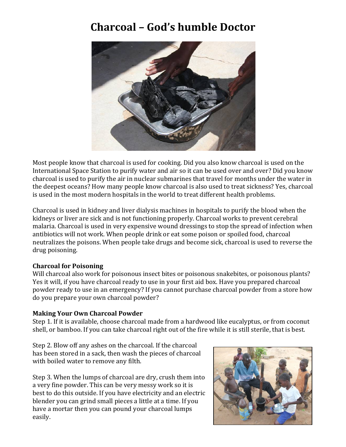# **Charcoal - God's humble Doctor**



Most people know that charcoal is used for cooking. Did you also know charcoal is used on the International Space Station to purify water and air so it can be used over and over? Did you know charcoal is used to purify the air in nuclear submarines that travel for months under the water in the deepest oceans? How many people know charcoal is also used to treat sickness? Yes, charcoal is used in the most modern hospitals in the world to treat different health problems.

Charcoal is used in kidney and liver dialysis machines in hospitals to purify the blood when the kidneys or liver are sick and is not functioning properly. Charcoal works to prevent cerebral malaria. Charcoal is used in very expensive wound dressings to stop the spread of infection when antibiotics will not work. When people drink or eat some poison or spoiled food, charcoal neutralizes the poisons. When people take drugs and become sick, charcoal is used to reverse the drug poisoning.

## **Charcoal for Poisoning**

Will charcoal also work for poisonous insect bites or poisonous snakebites, or poisonous plants? Yes it will, if you have charcoal ready to use in your first aid box. Have you prepared charcoal powder ready to use in an emergency? If you cannot purchase charcoal powder from a store how do you prepare your own charcoal powder?

#### **Making Your Own Charcoal Powder**

Step 1. If it is available, choose charcoal made from a hardwood like eucalyptus, or from coconut shell, or bamboo. If you can take charcoal right out of the fire while it is still sterile, that is best.

Step 2. Blow off any ashes on the charcoal. If the charcoal has been stored in a sack, then wash the pieces of charcoal with boiled water to remove any filth.

Step 3. When the lumps of charcoal are dry, crush them into a very fine powder. This can be very messy work so it is best to do this outside. If you have electricity and an electric blender you can grind small pieces a little at a time. If you have a mortar then you can pound your charcoal lumps easily.

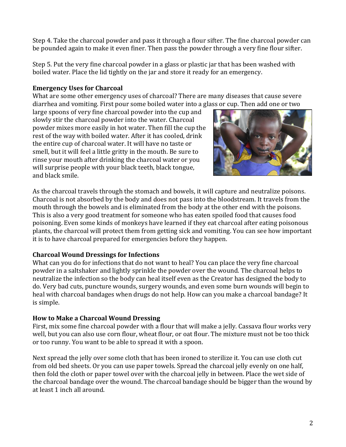Step 4. Take the charcoal powder and pass it through a flour sifter. The fine charcoal powder can be pounded again to make it even finer. Then pass the powder through a very fine flour sifter.

Step 5. Put the very fine charcoal powder in a glass or plastic jar that has been washed with boiled water. Place the lid tightly on the jar and store it ready for an emergency.

#### **Emergency Uses for Charcoal**

What are some other emergency uses of charcoal? There are many diseases that cause severe diarrhea and vomiting. First pour some boiled water into a glass or cup. Then add one or two

large spoons of very fine charcoal powder into the cup and slowly stir the charcoal powder into the water. Charcoal powder mixes more easily in hot water. Then fill the cup the rest of the way with boiled water. After it has cooled, drink the entire cup of charcoal water. It will have no taste or smell, but it will feel a little gritty in the mouth. Be sure to rinse your mouth after drinking the charcoal water or you will surprise people with your black teeth, black tongue, and black smile.



As the charcoal travels through the stomach and bowels, it will capture and neutralize poisons. Charcoal is not absorbed by the body and does not pass into the bloodstream. It travels from the mouth through the bowels and is eliminated from the body at the other end with the poisons. This is also a very good treatment for someone who has eaten spoiled food that causes food poisoning. Even some kinds of monkeys have learned if they eat charcoal after eating poisonous plants, the charcoal will protect them from getting sick and vomiting. You can see how important it is to have charcoal prepared for emergencies before they happen.

## **Charcoal Wound Dressings for Infections**

What can you do for infections that do not want to heal? You can place the very fine charcoal powder in a saltshaker and lightly sprinkle the powder over the wound. The charcoal helps to neutralize the infection so the body can heal itself even as the Creator has designed the body to do. Very bad cuts, puncture wounds, surgery wounds, and even some burn wounds will begin to heal with charcoal bandages when drugs do not help. How can you make a charcoal bandage? It is simple.

## **How to Make a Charcoal Wound Dressing**

First, mix some fine charcoal powder with a flour that will make a jelly. Cassava flour works very well, but you can also use corn flour, wheat flour, or oat flour. The mixture must not be too thick or too runny. You want to be able to spread it with a spoon.

Next spread the jelly over some cloth that has been ironed to sterilize it. You can use cloth cut from old bed sheets. Or you can use paper towels. Spread the charcoal jelly evenly on one half, then fold the cloth or paper towel over with the charcoal jelly in between. Place the wet side of the charcoal bandage over the wound. The charcoal bandage should be bigger than the wound by at least 1 inch all around.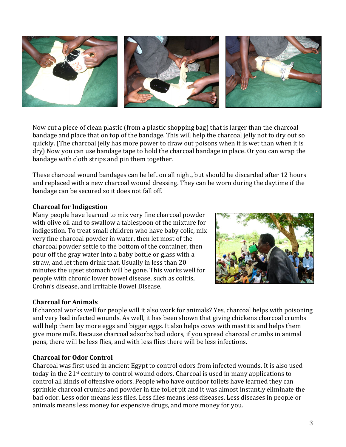

Now cut a piece of clean plastic (from a plastic shopping bag) that is larger than the charcoal bandage and place that on top of the bandage. This will help the charcoal jelly not to dry out so quickly. (The charcoal jelly has more power to draw out poisons when it is wet than when it is dry) Now you can use bandage tape to hold the charcoal bandage in place. Or you can wrap the bandage with cloth strips and pin them together.

These charcoal wound bandages can be left on all night, but should be discarded after 12 hours and replaced with a new charcoal wound dressing. They can be worn during the daytime if the bandage can be secured so it does not fall off.

#### **Charcoal for Indigestion**

Many people have learned to mix very fine charcoal powder with olive oil and to swallow a tablespoon of the mixture for indigestion. To treat small children who have baby colic, mix very fine charcoal powder in water, then let most of the charcoal powder settle to the bottom of the container, then pour off the gray water into a baby bottle or glass with a straw, and let them drink that. Usually in less than 20 minutes the upset stomach will be gone. This works well for people with chronic lower bowel disease, such as colitis, Crohn's disease, and Irritable Bowel Disease.

# **Charcoal for Animals**

If charcoal works well for people will it also work for animals? Yes, charcoal helps with poisoning and very bad infected wounds. As well, it has been shown that giving chickens charcoal crumbs will help them lay more eggs and bigger eggs. It also helps cows with mastitis and helps them give more milk. Because charcoal adsorbs bad odors, if you spread charcoal crumbs in animal pens, there will be less flies, and with less flies there will be less infections.

#### **Charcoal for Odor Control**

Charcoal was first used in ancient Egypt to control odors from infected wounds. It is also used today in the  $21$ <sup>st</sup> century to control wound odors. Charcoal is used in many applications to control all kinds of offensive odors. People who have outdoor toilets have learned they can sprinkle charcoal crumbs and powder in the toilet pit and it was almost instantly eliminate the bad odor. Less odor means less flies. Less flies means less diseases. Less diseases in people or animals means less money for expensive drugs, and more money for you.